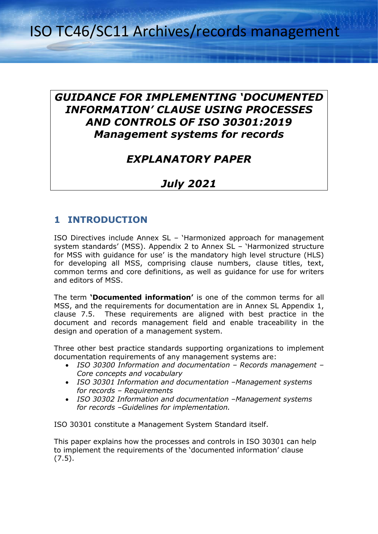ISO TC46/SC11 Archives/records management

# *GUIDANCE FOR IMPLEMENTING 'DOCUMENTED INFORMATION' CLAUSE USING PROCESSES AND CONTROLS OF ISO 30301:2019 Management systems for records*

# *EXPLANATORY PAPER*

# *July 2021*

## **1 INTRODUCTION**

ISO Directives include Annex SL – 'Harmonized approach for management system standards' (MSS). Appendix 2 to Annex SL – 'Harmonized structure for MSS with guidance for use' is the mandatory high level structure (HLS) for developing all MSS, comprising clause numbers, clause titles, text, common terms and core definitions, as well as guidance for use for writers and editors of MSS.

The term **'Documented information'** is one of the common terms for all MSS, and the requirements for documentation are in Annex SL Appendix 1, clause 7.5.These requirements are aligned with best practice in the document and records management field and enable traceability in the design and operation of a management system.

Three other best practice standards supporting organizations to implement documentation requirements of any management systems are:

- *ISO 30300 Information and documentation – Records management – Core concepts and vocabulary*
- *ISO 30301 Information and documentation –Management systems for records – Requirements*
- *ISO 30302 Information and documentation –Management systems for records –Guidelines for implementation.*

ISO 30301 constitute a Management System Standard itself.

This paper explains how the processes and controls in ISO 30301 can help to implement the requirements of the 'documented information' clause (7.5).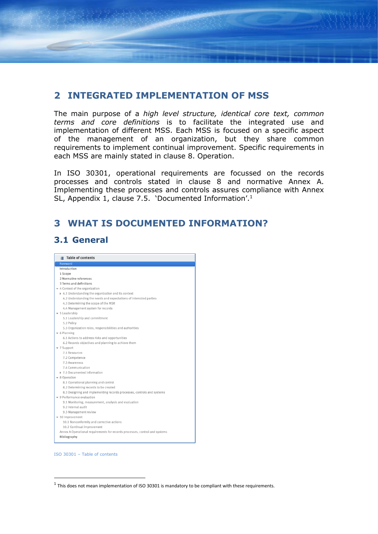### **2 INTEGRATED IMPLEMENTATION OF MSS**

The main purpose of a *high level structure, identical core text, common terms and core definitions* is to facilitate the integrated use and implementation of different MSS. Each MSS is focused on a specific aspect of the management of an organization, but they share common requirements to implement continual improvement. Specific requirements in each MSS are mainly stated in clause 8. Operation.

In ISO 30301, operational requirements are focussed on the records processes and controls stated in clause 8 and normative Annex A. Implementing these processes and controls assures compliance with Annex SL, Appendix 1, clause 7.5. 'Documented Information'. 1

### **3 WHAT IS DOCUMENTED INFORMATION?**

### **3.1 General**

| $\equiv$ Table of contents                                                  |  |  |
|-----------------------------------------------------------------------------|--|--|
| <b>Foreword</b>                                                             |  |  |
| Introduction                                                                |  |  |
| 1 Scope                                                                     |  |  |
| 2 Normative references                                                      |  |  |
| 3 Terms and definitions                                                     |  |  |
| $\bullet$ 4 Context of the organization                                     |  |  |
| ▶ 4.1 Understanding the organization and its context                        |  |  |
| 4.2 Understanding the needs and expectations of interested parties          |  |  |
| 4.3 Determining the scope of the MSR                                        |  |  |
| 4.4 Management system for records                                           |  |  |
| $\blacktriangleright$ 5 Leadership                                          |  |  |
| 5.1 Leadership and commitment                                               |  |  |
| 5.2 Policy                                                                  |  |  |
| 5.3 Organization roles, responsibilities and authorities                    |  |  |
| $\bullet$ 6 Planning                                                        |  |  |
| 6.1 Actions to address risks and opportunities                              |  |  |
| 6.2 Records objectives and planning to achieve them                         |  |  |
| $\sim$ 7 Support                                                            |  |  |
| 7.1 Resources                                                               |  |  |
| 7.2 Competence                                                              |  |  |
| 7.3 Awareness                                                               |  |  |
| 7.4 Communication                                                           |  |  |
| ▶ 7.5 Documented information                                                |  |  |
| $\sim$ 8 Operation                                                          |  |  |
| 8.1 Operational planning and control                                        |  |  |
| 8.2 Determining records to be created                                       |  |  |
| 8.3 Designing and implementing records processes, controls and systems      |  |  |
| $\bullet$ 9 Performance evaluation                                          |  |  |
| 9.1 Monitoring, measurement, analysis and evaluation                        |  |  |
| 9.2 Internal audit                                                          |  |  |
| 9.3 Management review                                                       |  |  |
| $\sim 10$ Improvement                                                       |  |  |
| 10.1 Nonconformity and corrective actions                                   |  |  |
| 10.2 Continual improvement                                                  |  |  |
| Annex A Operational requirements for records processes, control and systems |  |  |
| Bibliography                                                                |  |  |

ISO 30301 – Table of contents

 $<sup>1</sup>$  This does not mean implementation of ISO 30301 is mandatory to be compliant with these requirements.</sup>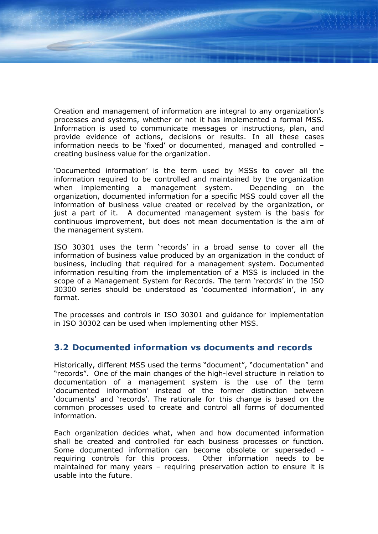Creation and management of information are integral to any organization's processes and systems, whether or not it has implemented a formal MSS. Information is used to communicate messages or instructions, plan, and provide evidence of actions, decisions or results. In all these cases information needs to be 'fixed' or documented, managed and controlled – creating business value for the organization.

'Documented information' is the term used by MSSs to cover all the information required to be controlled and maintained by the organization when implementing a management system. Depending on the organization, documented information for a specific MSS could cover all the information of business value created or received by the organization, or just a part of it. A documented management system is the basis for continuous improvement, but does not mean documentation is the aim of the management system.

ISO 30301 uses the term 'records' in a broad sense to cover all the information of business value produced by an organization in the conduct of business, including that required for a management system. Documented information resulting from the implementation of a MSS is included in the scope of a Management System for Records. The term 'records' in the ISO 30300 series should be understood as 'documented information', in any format.

The processes and controls in ISO 30301 and guidance for implementation in ISO 30302 can be used when implementing other MSS.

### **3.2 Documented information vs documents and records**

Historically, different MSS used the terms "document", "documentation" and "records". One of the main changes of the high-level structure in relation to documentation of a management system is the use of the term 'documented information' instead of the former distinction between 'documents' and 'records'. The rationale for this change is based on the common processes used to create and control all forms of documented information.

Each organization decides what, when and how documented information shall be created and controlled for each business processes or function. Some documented information can become obsolete or superseded requiring controls for this process. Other information needs to be maintained for many years – requiring preservation action to ensure it is usable into the future.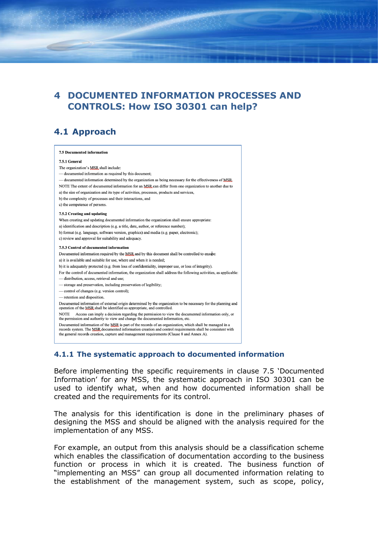### **4 DOCUMENTED INFORMATION PROCESSES AND CONTROLS: How ISO 30301 can help?**

## **4.1 Approach**

| <b>7.5 Documented information</b>                                                                                                                                                                                                                                                                                  |  |  |
|--------------------------------------------------------------------------------------------------------------------------------------------------------------------------------------------------------------------------------------------------------------------------------------------------------------------|--|--|
| 7.5.1 General                                                                                                                                                                                                                                                                                                      |  |  |
| The organization's MSR shall include:                                                                                                                                                                                                                                                                              |  |  |
| — documented information as required by this document;                                                                                                                                                                                                                                                             |  |  |
| — documented information determined by the organization as being necessary for the effectiveness of MSR.                                                                                                                                                                                                           |  |  |
| NOTE The extent of documented information for an MSR can differ from one organization to another due to                                                                                                                                                                                                            |  |  |
| a) the size of organization and its type of activities, processes, products and services,                                                                                                                                                                                                                          |  |  |
| b) the complexity of processes and their interactions, and                                                                                                                                                                                                                                                         |  |  |
| c) the competence of persons.                                                                                                                                                                                                                                                                                      |  |  |
| 7.5.2 Creating and updating                                                                                                                                                                                                                                                                                        |  |  |
| When creating and updating documented information the organization shall ensure appropriate:                                                                                                                                                                                                                       |  |  |
| a) identification and description (e.g. a title, date, author, or reference number);                                                                                                                                                                                                                               |  |  |
| b) format (e.g. language, software version, graphics) and media (e.g. paper, electronic);                                                                                                                                                                                                                          |  |  |
| c) review and approval for suitability and adequacy.                                                                                                                                                                                                                                                               |  |  |
| 7.5.3 Control of documented information                                                                                                                                                                                                                                                                            |  |  |
| Documented information required by the MSR and by this document shall be controlled to ensure:                                                                                                                                                                                                                     |  |  |
| a) it is available and suitable for use, where and when it is needed;                                                                                                                                                                                                                                              |  |  |
| b) it is adequately protected (e.g. from loss of confidentiality, improper use, or loss of integrity).                                                                                                                                                                                                             |  |  |
| For the control of documented information, the organization shall address the following activities, as applicable:                                                                                                                                                                                                 |  |  |
| - distribution, access, retrieval and use;                                                                                                                                                                                                                                                                         |  |  |
| — storage and preservation, including preservation of legibility;                                                                                                                                                                                                                                                  |  |  |
| — control of changes (e.g. version control);                                                                                                                                                                                                                                                                       |  |  |
| - retention and disposition.                                                                                                                                                                                                                                                                                       |  |  |
| Documented information of external origin determined by the organization to be necessary for the planning and<br>operation of the MSR shall be identified as appropriate, and controlled.                                                                                                                          |  |  |
| <b>NOTE</b><br>Access can imply a decision regarding the permission to view the documented information only, or<br>the permission and authority to view and change the documented information, etc.                                                                                                                |  |  |
| Documented information of the MSR is part of the records of an organization, which shall be managed in a<br>records system. The MSR documented information creation and control requirements shall be consistent with<br>the general records creation, capture and management requirements (Clause 8 and Annex A). |  |  |

#### **4.1.1 The systematic approach to documented information**

Before implementing the specific requirements in clause 7.5 'Documented Information' for any MSS, the systematic approach in ISO 30301 can be used to identify what, when and how documented information shall be created and the requirements for its control.

The analysis for this identification is done in the preliminary phases of designing the MSS and should be aligned with the analysis required for the implementation of any MSS.

For example, an output from this analysis should be a classification scheme which enables the classification of documentation according to the business function or process in which it is created. The business function of "implementing an MSS" can group all documented information relating to the establishment of the management system, such as scope, policy,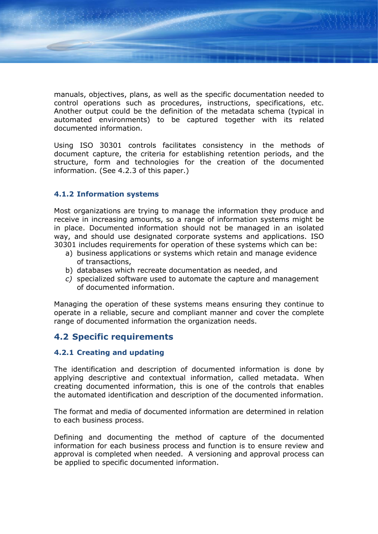manuals, objectives, plans, as well as the specific documentation needed to control operations such as procedures, instructions, specifications, etc. Another output could be the definition of the metadata schema (typical in automated environments) to be captured together with its related documented information.

Using ISO 30301 controls facilitates consistency in the methods of document capture, the criteria for establishing retention periods, and the structure, form and technologies for the creation of the documented information. (See 4.2.3 of this paper.)

#### **4.1.2 Information systems**

Most organizations are trying to manage the information they produce and receive in increasing amounts, so a range of information systems might be in place. Documented information should not be managed in an isolated way, and should use designated corporate systems and applications. ISO 30301 includes requirements for operation of these systems which can be:

- a) business applications or systems which retain and manage evidence of transactions,
- b) databases which recreate documentation as needed, and
- *c)* specialized software used to automate the capture and management of documented information.

Managing the operation of these systems means ensuring they continue to operate in a reliable, secure and compliant manner and cover the complete range of documented information the organization needs.

#### **4.2 Specific requirements**

#### **4.2.1 Creating and updating**

The identification and description of documented information is done by applying descriptive and contextual information, called metadata. When creating documented information, this is one of the controls that enables the automated identification and description of the documented information.

The format and media of documented information are determined in relation to each business process.

Defining and documenting the method of capture of the documented information for each business process and function is to ensure review and approval is completed when needed. A versioning and approval process can be applied to specific documented information.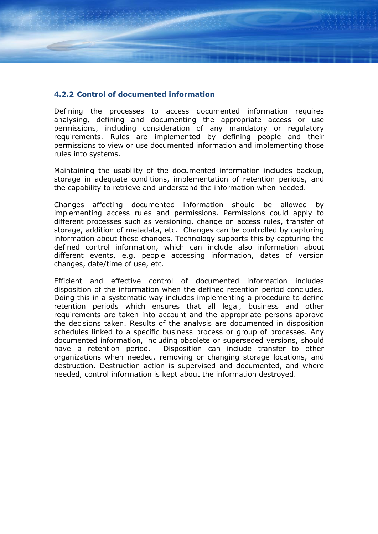#### **4.2.2 Control of documented information**

Defining the processes to access documented information requires analysing, defining and documenting the appropriate access or use permissions, including consideration of any mandatory or regulatory requirements. Rules are implemented by defining people and their permissions to view or use documented information and implementing those rules into systems.

Maintaining the usability of the documented information includes backup, storage in adequate conditions, implementation of retention periods, and the capability to retrieve and understand the information when needed.

Changes affecting documented information should be allowed by implementing access rules and permissions. Permissions could apply to different processes such as versioning, change on access rules, transfer of storage, addition of metadata, etc. Changes can be controlled by capturing information about these changes. Technology supports this by capturing the defined control information, which can include also information about different events, e.g. people accessing information, dates of version changes, date/time of use, etc.

Efficient and effective control of documented information includes disposition of the information when the defined retention period concludes. Doing this in a systematic way includes implementing a procedure to define retention periods which ensures that all legal, business and other requirements are taken into account and the appropriate persons approve the decisions taken. Results of the analysis are documented in disposition schedules linked to a specific business process or group of processes. Any documented information, including obsolete or superseded versions, should have a retention period. Disposition can include transfer to other organizations when needed, removing or changing storage locations, and destruction. Destruction action is supervised and documented, and where needed, control information is kept about the information destroyed.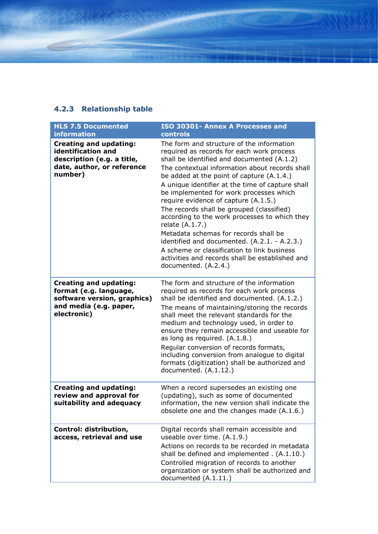## **4.2.3 Relationship table**

| <b>HLS 7.5 Documented</b><br><b>information</b>                                                                                 | ISO 30301- Annex A Processes and<br>controls                                                                                                                                                                                                                                                                                                                                                                                                                                                                                                                                                                                                                                                                   |
|---------------------------------------------------------------------------------------------------------------------------------|----------------------------------------------------------------------------------------------------------------------------------------------------------------------------------------------------------------------------------------------------------------------------------------------------------------------------------------------------------------------------------------------------------------------------------------------------------------------------------------------------------------------------------------------------------------------------------------------------------------------------------------------------------------------------------------------------------------|
| <b>Creating and updating:</b><br>identification and<br>description (e.g. a title,<br>date, author, or reference<br>number)      | The form and structure of the information<br>required as records for each work process<br>shall be identified and documented (A.1.2)<br>The contextual information about records shall<br>be added at the point of capture (A.1.4.)<br>A unique identifier at the time of capture shall<br>be implemented for work processes which<br>require evidence of capture (A.1.5.)<br>The records shall be grouped (classified)<br>according to the work processes to which they<br>relate (A.1.7.)<br>Metadata schemas for records shall be<br>identified and documented. (A.2.1. - A.2.3.)<br>A scheme or classification to link business<br>activities and records shall be established and<br>documented. (A.2.4.) |
| <b>Creating and updating:</b><br>format (e.g. language,<br>software version, graphics)<br>and media (e.g. paper,<br>electronic) | The form and structure of the information<br>required as records for each work process<br>shall be identified and documented. (A.1.2.)<br>The means of maintaining/storing the records<br>shall meet the relevant standards for the<br>medium and technology used, in order to<br>ensure they remain accessible and useable for<br>as long as required. (A.1.8.)<br>Regular conversion of records formats,<br>including conversion from analogue to digital<br>formats (digitization) shall be authorized and<br>documented. (A.1.12.)                                                                                                                                                                         |
| <b>Creating and updating:</b><br>review and approval for<br>suitability and adequacy                                            | When a record supersedes an existing one<br>(updating), such as some of documented<br>information, the new version shall indicate the<br>obsolete one and the changes made (A.1.6.)                                                                                                                                                                                                                                                                                                                                                                                                                                                                                                                            |
| Control: distribution,<br>access, retrieval and use                                                                             | Digital records shall remain accessible and<br>useable over time. (A.1.9.)<br>Actions on records to be recorded in metadata<br>shall be defined and implemented . (A.1.10.)<br>Controlled migration of records to another<br>organization or system shall be authorized and<br>documented (A.1.11.)                                                                                                                                                                                                                                                                                                                                                                                                            |